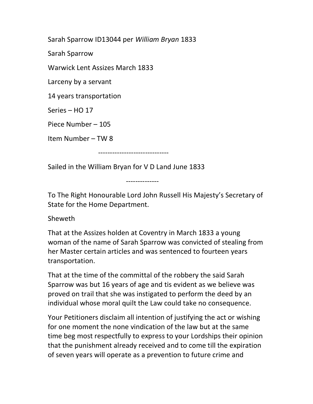Sarah Sparrow ID13044 per William Bryan 1833

Sarah Sparrow

Warwick Lent Assizes March 1833

Larceny by a servant

14 years transportation

Series – HO 17

Piece Number – 105

Item Number – TW 8

------------------------------

Sailed in the William Bryan for V D Land June 1833

--------------

To The Right Honourable Lord John Russell His Majesty's Secretary of State for the Home Department.

Sheweth

That at the Assizes holden at Coventry in March 1833 a young woman of the name of Sarah Sparrow was convicted of stealing from her Master certain articles and was sentenced to fourteen years transportation.

That at the time of the committal of the robbery the said Sarah Sparrow was but 16 years of age and tis evident as we believe was proved on trail that she was instigated to perform the deed by an individual whose moral quilt the Law could take no consequence.

Your Petitioners disclaim all intention of justifying the act or wishing for one moment the none vindication of the law but at the same time beg most respectfully to express to your Lordships their opinion that the punishment already received and to come till the expiration of seven years will operate as a prevention to future crime and